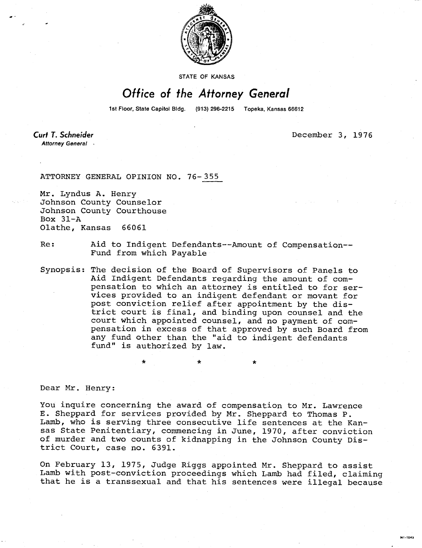

STATE OF KANSAS

## Office of the Attorney General

1st Floor, State Capitol Bldg. (913) 296-2215 Topeka, Kansas 66612

Curt T. Schneider Attorney General December 3, 1976

WI-1043

## ATTORNEY GENERAL OPINION NO. 76-355

Mr. Lyndus A. Henry Johnson County Counselor Johnson County Courthouse Box 31-A Olathe, Kansas 66061

Re: Aid to Indigent Defendants--Amount of Compensation-- Fund from which Payable

Synopsis: The decision of the Board of Supervisors of Panels to Aid Indigent Defendants regarding the amount of compensation to which an attorney is entitled to for services provided to an indigent defendant or movant for post conviction relief after appointment by the district court is final, and binding upon counsel and the court which appointed counsel, and no payment of compensation in excess of that approved by such Board from any fund other than the "aid to indigent defendants fund" is authorized by law.

Dear Mr. Henry:

You inquire concerning the award of compensation to Mr. Lawrence E. Sheppard for services provided by Mr. Sheppard to Thomas P. Lamb, who is serving three consecutive life sentences at the Kansas State Penitentiary, commencing in June, 1970, after conviction of murder and two counts of kidnapping in the Johnson County District Court, case no. 6391.

On February 13, 1975, Judge Riggs appointed Mr. Sheppard to assist Lamb with post-conviction proceedings which Lamb had filed, claiming that he is a transsexual and that his sentences were illegal because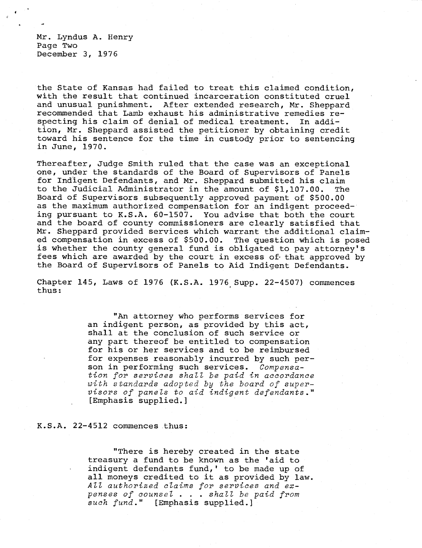Mr. Lyndus A. Henry Page Two December 3, 1976

the State of Kansas had failed to treat this claimed condition, with the result that continued incarceration constituted cruel and unusual punishment. After extended research, Mr. Sheppard recommended that Lamb exhaust his administrative remedies respecting his claim of denial of medical treatment. In addition, Mr. Sheppard assisted the petitioner by obtaining credit toward his sentence for the time in custody prior to sentencing in June, 1970.

Thereafter, Judge Smith ruled that the case was an exceptional one, under the standards of the Board of Supervisors of Panels for Indigent Defendants, and Mr. Sheppard submitted his claim to the Judicial Administrator in the amount of \$1,107.00. The Board of Supervisors subsequently approved payment of \$500.00 as the maximum authorized compensation for an indigent proceeding pursuant to K.S.A. 60-1507. You advise that both the court and the board of county commissioners are clearly satisfied that Mr. Sheppard provided services which warrant the additional claimed compensation in excess of \$500.00. The question which is posed is whether the county general fund is obligated to pay attorney's fees which are awarded by the court in excess of that approved by the Board of Supervisors of Panels to Aid Indigent Defendants.

Chapter 145, Laws of 1976 (K.S.A. 1976 Supp. 22-4507) commences thus:

> "An attorney who performs services for an indigent person, as provided by this act, shall at the conclusion of such service or any part thereof be entitled to compensation for his or her services and to be reimbursed for expenses reasonably incurred by such person in performing such services. Compensation for services shall be paid in accordance with standards adopted by the board of supervisors of panels to aid indigent defendants." [Emphasis supplied.]

K.S.A. 22-4512 commences thus:

"There is hereby created in the state treasury a fund to be known as the 'aid to indigent defendants fund,' to be made up of all moneys credited to it as provided by law. All authorized claims for services and expenses of counsel . . . shall be paid from such fund." [Emphasis supplied.]